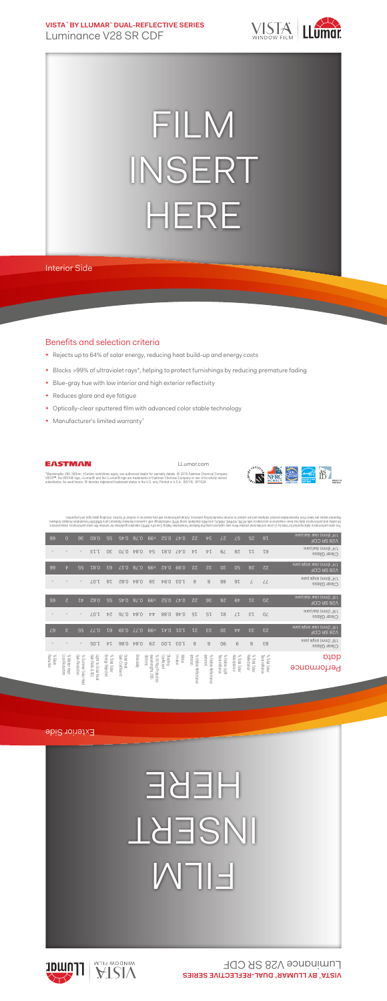**VISTA**™  **BY LLUMAR**®  **DUAL-REFLECTIVE SERIES** Luminance V28 SR CDF



## FILM INSERT HERE

Interior Side

## Benefits and selection criteria

- **+** Rejects up to 64% of solar energy, reducing heat build-up and energy costs
- **+** Blocks >99% of ultraviolet rays\*, helping to protect furnishings by reducing premature fading
- **+** Blue-gray hue with low interior and high exterior reflectivity
- **+** Reduces glare and eye fatigue
- **+** Optically-clear sputtered film with advanced color stable technology
- **+** Manufacturer's limited warranty†



LLumar.com



"Wavelengths 280-380nm. †Certain restrictions apply; see authorized dealer for warranty details. © 2016 Eastman Chemical Company.<br>VISTA™, the VISTA® logo, LLumar® and the LLumar® logo are trademarks of Eastman Chemical Com